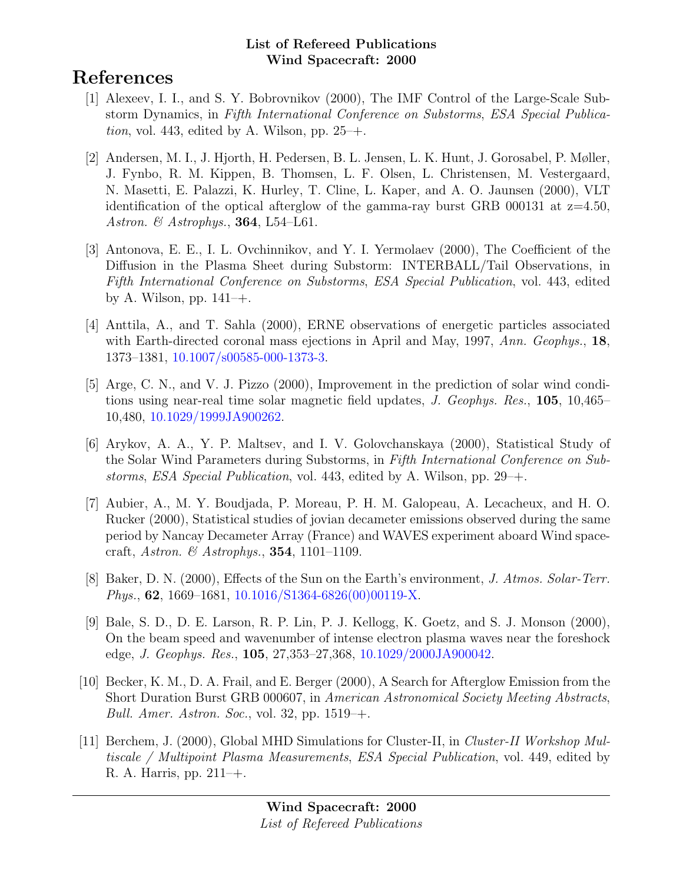# References

- [1] Alexeev, I. I., and S. Y. Bobrovnikov (2000), The IMF Control of the Large-Scale Substorm Dynamics, in Fifth International Conference on Substorms, ESA Special Publica*tion*, vol. 443, edited by A. Wilson, pp.  $25-+$ .
- [2] Andersen, M. I., J. Hjorth, H. Pedersen, B. L. Jensen, L. K. Hunt, J. Gorosabel, P. Møller, J. Fynbo, R. M. Kippen, B. Thomsen, L. F. Olsen, L. Christensen, M. Vestergaard, N. Masetti, E. Palazzi, K. Hurley, T. Cline, L. Kaper, and A. O. Jaunsen (2000), VLT identification of the optical afterglow of the gamma-ray burst GRB 000131 at  $z=4.50$ , Astron. & Astrophys., 364, L54-L61.
- [3] Antonova, E. E., I. L. Ovchinnikov, and Y. I. Yermolaev (2000), The Coefficient of the Diffusion in the Plasma Sheet during Substorm: INTERBALL/Tail Observations, in Fifth International Conference on Substorms, ESA Special Publication, vol. 443, edited by A. Wilson, pp.  $141-+$ .
- [4] Anttila, A., and T. Sahla (2000), ERNE observations of energetic particles associated with Earth-directed coronal mass ejections in April and May, 1997, Ann. Geophys., 18, 1373–1381, [10.1007/s00585-000-1373-3.](http://dx.doi.org/10.1007/s00585-000-1373-3)
- [5] Arge, C. N., and V. J. Pizzo (2000), Improvement in the prediction of solar wind conditions using near-real time solar magnetic field updates, J. Geophys. Res., 105, 10,465– 10,480, [10.1029/1999JA900262.](http://dx.doi.org/10.1029/1999JA900262)
- [6] Arykov, A. A., Y. P. Maltsev, and I. V. Golovchanskaya (2000), Statistical Study of the Solar Wind Parameters during Substorms, in Fifth International Conference on Substorms, ESA Special Publication, vol. 443, edited by A. Wilson, pp. 29–+.
- [7] Aubier, A., M. Y. Boudjada, P. Moreau, P. H. M. Galopeau, A. Lecacheux, and H. O. Rucker (2000), Statistical studies of jovian decameter emissions observed during the same period by Nancay Decameter Array (France) and WAVES experiment aboard Wind spacecraft, Astron. & Astrophys., 354, 1101–1109.
- [8] Baker, D. N. (2000), Effects of the Sun on the Earth's environment, J. Atmos. Solar-Terr. Phys., 62, 1669–1681, [10.1016/S1364-6826\(00\)00119-X.](http://dx.doi.org/10.1016/S1364-6826(00)00119-X)
- [9] Bale, S. D., D. E. Larson, R. P. Lin, P. J. Kellogg, K. Goetz, and S. J. Monson (2000), On the beam speed and wavenumber of intense electron plasma waves near the foreshock edge, J. Geophys. Res., 105, 27,353–27,368, [10.1029/2000JA900042.](http://dx.doi.org/10.1029/2000JA900042)
- [10] Becker, K. M., D. A. Frail, and E. Berger (2000), A Search for Afterglow Emission from the Short Duration Burst GRB 000607, in American Astronomical Society Meeting Abstracts, Bull. Amer. Astron. Soc., vol. 32, pp.  $1519 - +$ .
- [11] Berchem, J. (2000), Global MHD Simulations for Cluster-II, in Cluster-II Workshop Multiscale / Multipoint Plasma Measurements, ESA Special Publication, vol. 449, edited by R. A. Harris, pp. 211–+.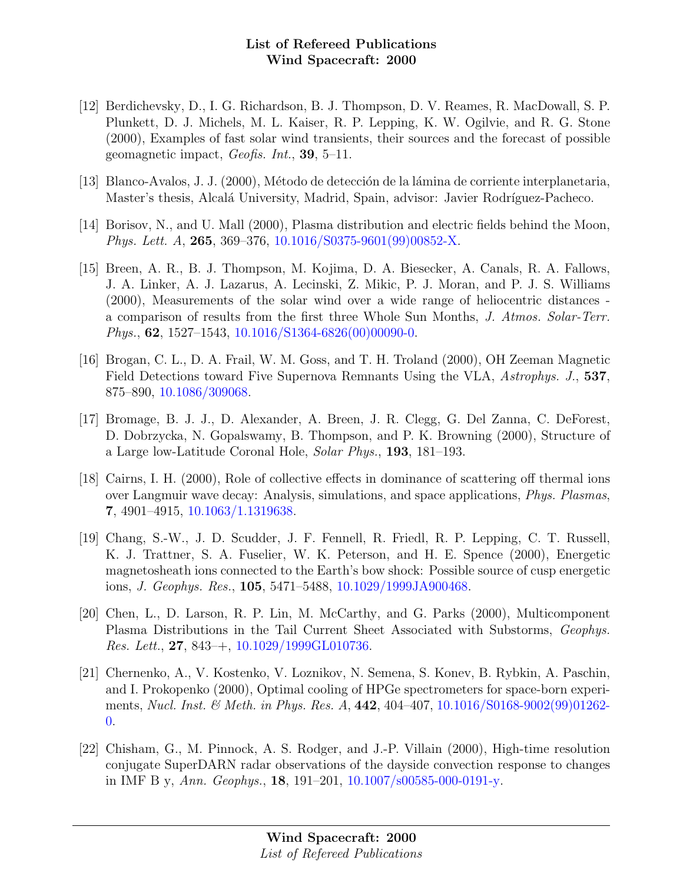- [12] Berdichevsky, D., I. G. Richardson, B. J. Thompson, D. V. Reames, R. MacDowall, S. P. Plunkett, D. J. Michels, M. L. Kaiser, R. P. Lepping, K. W. Ogilvie, and R. G. Stone (2000), Examples of fast solar wind transients, their sources and the forecast of possible geomagnetic impact, Geofis. Int., 39, 5–11.
- [13] Blanco-Avalos, J. J. (2000), Método de detección de la lámina de corriente interplanetaria, Master's thesis, Alcalá University, Madrid, Spain, advisor: Javier Rodríguez-Pacheco.
- [14] Borisov, N., and U. Mall (2000), Plasma distribution and electric fields behind the Moon, Phys. Lett. A, 265, 369–376, [10.1016/S0375-9601\(99\)00852-X.](http://dx.doi.org/10.1016/S0375-9601(99)00852-X)
- [15] Breen, A. R., B. J. Thompson, M. Kojima, D. A. Biesecker, A. Canals, R. A. Fallows, J. A. Linker, A. J. Lazarus, A. Lecinski, Z. Mikic, P. J. Moran, and P. J. S. Williams (2000), Measurements of the solar wind over a wide range of heliocentric distances a comparison of results from the first three Whole Sun Months, J. Atmos. Solar-Terr. Phys.,  $62$ ,  $1527-1543$ ,  $10.1016/S1364-6826(00)00090-0$ .
- [16] Brogan, C. L., D. A. Frail, W. M. Goss, and T. H. Troland (2000), OH Zeeman Magnetic Field Detections toward Five Supernova Remnants Using the VLA, Astrophys. J., 537, 875–890, [10.1086/309068.](http://dx.doi.org/10.1086/309068)
- [17] Bromage, B. J. J., D. Alexander, A. Breen, J. R. Clegg, G. Del Zanna, C. DeForest, D. Dobrzycka, N. Gopalswamy, B. Thompson, and P. K. Browning (2000), Structure of a Large low-Latitude Coronal Hole, Solar Phys., 193, 181–193.
- [18] Cairns, I. H. (2000), Role of collective effects in dominance of scattering off thermal ions over Langmuir wave decay: Analysis, simulations, and space applications, Phys. Plasmas, 7, 4901–4915, [10.1063/1.1319638.](http://dx.doi.org/10.1063/1.1319638)
- [19] Chang, S.-W., J. D. Scudder, J. F. Fennell, R. Friedl, R. P. Lepping, C. T. Russell, K. J. Trattner, S. A. Fuselier, W. K. Peterson, and H. E. Spence (2000), Energetic magnetosheath ions connected to the Earth's bow shock: Possible source of cusp energetic ions, J. Geophys. Res., 105, 5471–5488, [10.1029/1999JA900468.](http://dx.doi.org/10.1029/1999JA900468)
- [20] Chen, L., D. Larson, R. P. Lin, M. McCarthy, and G. Parks (2000), Multicomponent Plasma Distributions in the Tail Current Sheet Associated with Substorms, Geophys. Res. Lett.,  $27, 843 + 10.1029/1999 \text{GL}010736$ .
- [21] Chernenko, A., V. Kostenko, V. Loznikov, N. Semena, S. Konev, B. Rybkin, A. Paschin, and I. Prokopenko (2000), Optimal cooling of HPGe spectrometers for space-born experi-ments, Nucl. Inst. & Meth. in Phys. Res. A, 442, 404-407, [10.1016/S0168-9002\(99\)01262-](http://dx.doi.org/10.1016/S0168-9002(99)01262-0) [0.](http://dx.doi.org/10.1016/S0168-9002(99)01262-0)
- [22] Chisham, G., M. Pinnock, A. S. Rodger, and J.-P. Villain (2000), High-time resolution conjugate SuperDARN radar observations of the dayside convection response to changes in IMF B y, Ann. Geophys., 18, 191–201, [10.1007/s00585-000-0191-y.](http://dx.doi.org/10.1007/s00585-000-0191-y)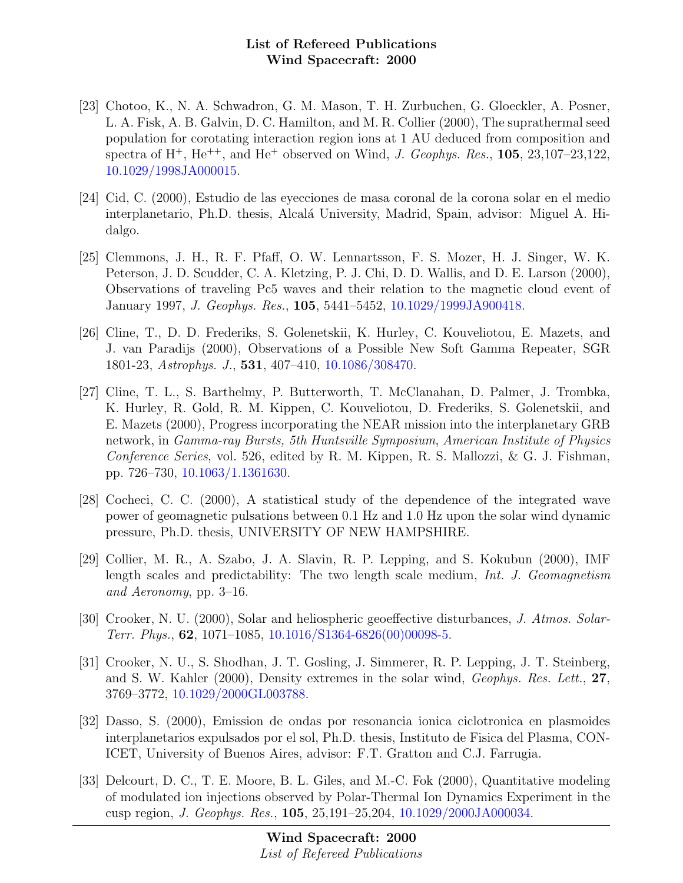- [23] Chotoo, K., N. A. Schwadron, G. M. Mason, T. H. Zurbuchen, G. Gloeckler, A. Posner, L. A. Fisk, A. B. Galvin, D. C. Hamilton, and M. R. Collier (2000), The suprathermal seed population for corotating interaction region ions at 1 AU deduced from composition and spectra of  $H^+$ ,  $He^{++}$ , and  $He^+$  observed on Wind, *J. Geophys. Res.*, **105**, 23,107–23,122, [10.1029/1998JA000015.](http://dx.doi.org/10.1029/1998JA000015)
- [24] Cid, C. (2000), Estudio de las eyecciones de masa coronal de la corona solar en el medio interplanetario, Ph.D. thesis, Alcalá University, Madrid, Spain, advisor: Miguel A. Hidalgo.
- [25] Clemmons, J. H., R. F. Pfaff, O. W. Lennartsson, F. S. Mozer, H. J. Singer, W. K. Peterson, J. D. Scudder, C. A. Kletzing, P. J. Chi, D. D. Wallis, and D. E. Larson (2000), Observations of traveling Pc5 waves and their relation to the magnetic cloud event of January 1997, J. Geophys. Res., 105, 5441–5452, [10.1029/1999JA900418.](http://dx.doi.org/10.1029/1999JA900418)
- [26] Cline, T., D. D. Frederiks, S. Golenetskii, K. Hurley, C. Kouveliotou, E. Mazets, and J. van Paradijs (2000), Observations of a Possible New Soft Gamma Repeater, SGR 1801-23, Astrophys. J., 531, 407–410, [10.1086/308470.](http://dx.doi.org/10.1086/308470)
- [27] Cline, T. L., S. Barthelmy, P. Butterworth, T. McClanahan, D. Palmer, J. Trombka, K. Hurley, R. Gold, R. M. Kippen, C. Kouveliotou, D. Frederiks, S. Golenetskii, and E. Mazets (2000), Progress incorporating the NEAR mission into the interplanetary GRB network, in Gamma-ray Bursts, 5th Huntsville Symposium, American Institute of Physics Conference Series, vol. 526, edited by R. M. Kippen, R. S. Mallozzi, & G. J. Fishman, pp. 726–730, [10.1063/1.1361630.](http://dx.doi.org/10.1063/1.1361630)
- [28] Cocheci, C. C. (2000), A statistical study of the dependence of the integrated wave power of geomagnetic pulsations between 0.1 Hz and 1.0 Hz upon the solar wind dynamic pressure, Ph.D. thesis, UNIVERSITY OF NEW HAMPSHIRE.
- [29] Collier, M. R., A. Szabo, J. A. Slavin, R. P. Lepping, and S. Kokubun (2000), IMF length scales and predictability: The two length scale medium, Int. J. Geomagnetism and Aeronomy, pp. 3–16.
- [30] Crooker, N. U. (2000), Solar and heliospheric geoeffective disturbances, J. Atmos. Solar-Terr. Phys.,  $62$ ,  $1071-1085$ ,  $10.1016/S1364-6826(00)00098-5$ .
- [31] Crooker, N. U., S. Shodhan, J. T. Gosling, J. Simmerer, R. P. Lepping, J. T. Steinberg, and S. W. Kahler (2000), Density extremes in the solar wind, Geophys. Res. Lett., 27, 3769–3772, [10.1029/2000GL003788.](http://dx.doi.org/10.1029/2000GL003788)
- [32] Dasso, S. (2000), Emission de ondas por resonancia ionica ciclotronica en plasmoides interplanetarios expulsados por el sol, Ph.D. thesis, Instituto de Fisica del Plasma, CON-ICET, University of Buenos Aires, advisor: F.T. Gratton and C.J. Farrugia.
- [33] Delcourt, D. C., T. E. Moore, B. L. Giles, and M.-C. Fok (2000), Quantitative modeling of modulated ion injections observed by Polar-Thermal Ion Dynamics Experiment in the cusp region, J. Geophys. Res., 105, 25,191–25,204, [10.1029/2000JA000034.](http://dx.doi.org/10.1029/2000JA000034)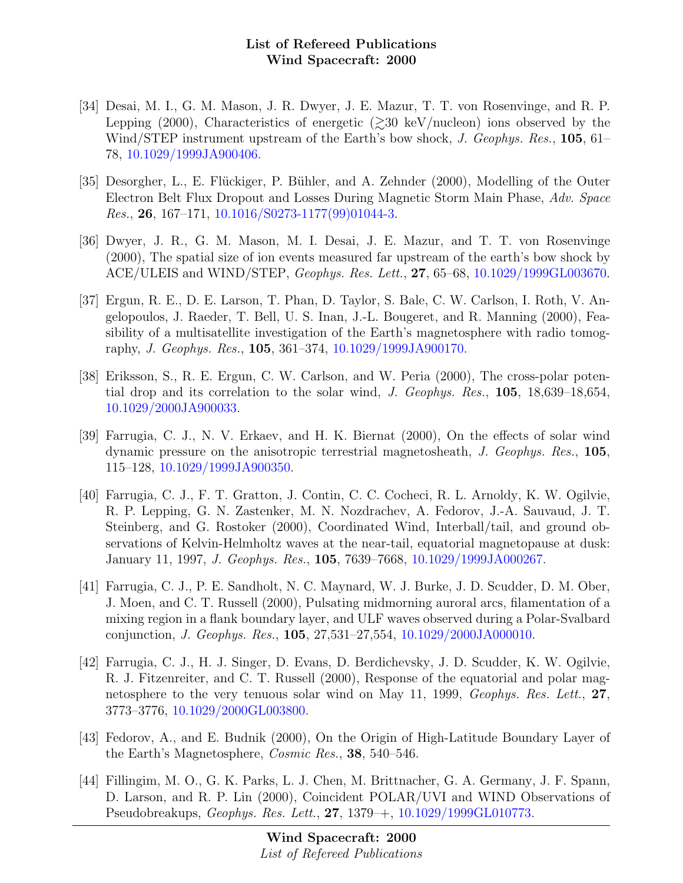- [34] Desai, M. I., G. M. Mason, J. R. Dwyer, J. E. Mazur, T. T. von Rosenvinge, and R. P. Lepping (2000), Characteristics of energetic ( $\geq$ 30 keV/nucleon) ions observed by the Wind/STEP instrument upstream of the Earth's bow shock, J. Geophys. Res., 105, 61– 78, [10.1029/1999JA900406.](http://dx.doi.org/10.1029/1999JA900406)
- [35] Desorgher, L., E. Flückiger, P. Bühler, and A. Zehnder (2000), Modelling of the Outer Electron Belt Flux Dropout and Losses During Magnetic Storm Main Phase, Adv. Space Res., 26, 167–171, [10.1016/S0273-1177\(99\)01044-3.](http://dx.doi.org/10.1016/S0273-1177(99)01044-3)
- [36] Dwyer, J. R., G. M. Mason, M. I. Desai, J. E. Mazur, and T. T. von Rosenvinge (2000), The spatial size of ion events measured far upstream of the earth's bow shock by ACE/ULEIS and WIND/STEP, Geophys. Res. Lett., 27, 65–68, [10.1029/1999GL003670.](http://dx.doi.org/10.1029/1999GL003670)
- [37] Ergun, R. E., D. E. Larson, T. Phan, D. Taylor, S. Bale, C. W. Carlson, I. Roth, V. Angelopoulos, J. Raeder, T. Bell, U. S. Inan, J.-L. Bougeret, and R. Manning (2000), Feasibility of a multisatellite investigation of the Earth's magnetosphere with radio tomography, J. Geophys. Res., 105, 361–374, [10.1029/1999JA900170.](http://dx.doi.org/10.1029/1999JA900170)
- [38] Eriksson, S., R. E. Ergun, C. W. Carlson, and W. Peria (2000), The cross-polar potential drop and its correlation to the solar wind, J. Geophys. Res., 105, 18,639–18,654, [10.1029/2000JA900033.](http://dx.doi.org/10.1029/2000JA900033)
- [39] Farrugia, C. J., N. V. Erkaev, and H. K. Biernat (2000), On the effects of solar wind dynamic pressure on the anisotropic terrestrial magnetosheath, J. Geophys. Res., 105, 115–128, [10.1029/1999JA900350.](http://dx.doi.org/10.1029/1999JA900350)
- [40] Farrugia, C. J., F. T. Gratton, J. Contin, C. C. Cocheci, R. L. Arnoldy, K. W. Ogilvie, R. P. Lepping, G. N. Zastenker, M. N. Nozdrachev, A. Fedorov, J.-A. Sauvaud, J. T. Steinberg, and G. Rostoker (2000), Coordinated Wind, Interball/tail, and ground observations of Kelvin-Helmholtz waves at the near-tail, equatorial magnetopause at dusk: January 11, 1997, J. Geophys. Res., 105, 7639–7668, [10.1029/1999JA000267.](http://dx.doi.org/10.1029/1999JA000267)
- [41] Farrugia, C. J., P. E. Sandholt, N. C. Maynard, W. J. Burke, J. D. Scudder, D. M. Ober, J. Moen, and C. T. Russell (2000), Pulsating midmorning auroral arcs, filamentation of a mixing region in a flank boundary layer, and ULF waves observed during a Polar-Svalbard conjunction, J. Geophys. Res., 105, 27,531–27,554, [10.1029/2000JA000010.](http://dx.doi.org/10.1029/2000JA000010)
- [42] Farrugia, C. J., H. J. Singer, D. Evans, D. Berdichevsky, J. D. Scudder, K. W. Ogilvie, R. J. Fitzenreiter, and C. T. Russell (2000), Response of the equatorial and polar magnetosphere to the very tenuous solar wind on May 11, 1999, Geophys. Res. Lett., 27, 3773–3776, [10.1029/2000GL003800.](http://dx.doi.org/10.1029/2000GL003800)
- [43] Fedorov, A., and E. Budnik (2000), On the Origin of High-Latitude Boundary Layer of the Earth's Magnetosphere, Cosmic Res., 38, 540–546.
- [44] Fillingim, M. O., G. K. Parks, L. J. Chen, M. Brittnacher, G. A. Germany, J. F. Spann, D. Larson, and R. P. Lin (2000), Coincident POLAR/UVI and WIND Observations of Pseudobreakups, Geophys. Res. Lett., 27, 1379–+, [10.1029/1999GL010773.](http://dx.doi.org/10.1029/1999GL010773)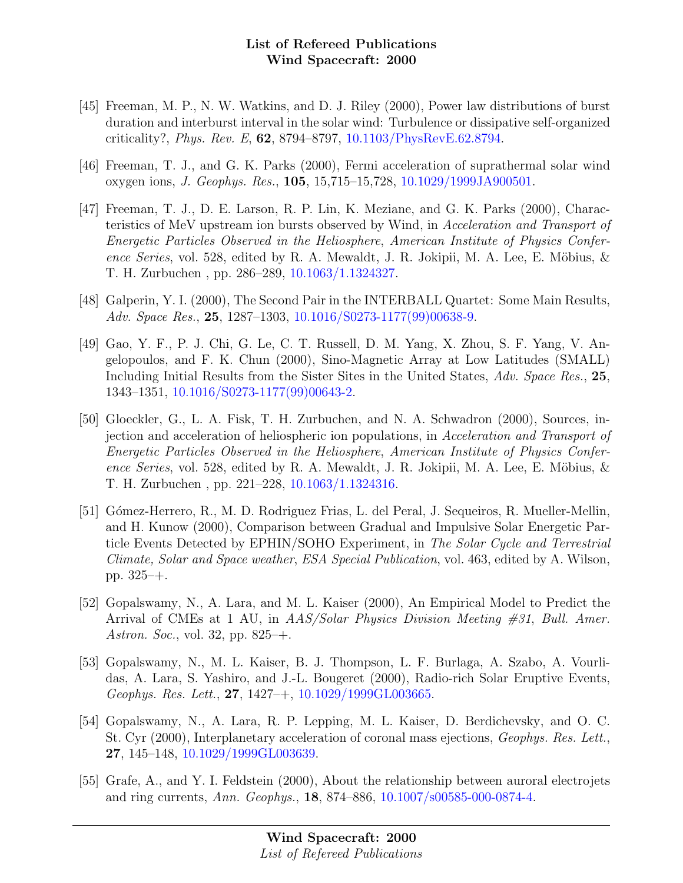- [45] Freeman, M. P., N. W. Watkins, and D. J. Riley (2000), Power law distributions of burst duration and interburst interval in the solar wind: Turbulence or dissipative self-organized criticality?, Phys. Rev. E, 62, 8794–8797, [10.1103/PhysRevE.62.8794.](http://dx.doi.org/10.1103/PhysRevE.62.8794)
- [46] Freeman, T. J., and G. K. Parks (2000), Fermi acceleration of suprathermal solar wind oxygen ions, J. Geophys. Res., 105, 15,715–15,728, [10.1029/1999JA900501.](http://dx.doi.org/10.1029/1999JA900501)
- [47] Freeman, T. J., D. E. Larson, R. P. Lin, K. Meziane, and G. K. Parks (2000), Characteristics of MeV upstream ion bursts observed by Wind, in Acceleration and Transport of Energetic Particles Observed in the Heliosphere, American Institute of Physics Conference Series, vol. 528, edited by R. A. Mewaldt, J. R. Jokipii, M. A. Lee, E. Möbius,  $\&$ T. H. Zurbuchen , pp. 286–289, [10.1063/1.1324327.](http://dx.doi.org/10.1063/1.1324327)
- [48] Galperin, Y. I. (2000), The Second Pair in the INTERBALL Quartet: Some Main Results, Adv. Space Res., 25, 1287–1303, [10.1016/S0273-1177\(99\)00638-9.](http://dx.doi.org/10.1016/S0273-1177(99)00638-9)
- [49] Gao, Y. F., P. J. Chi, G. Le, C. T. Russell, D. M. Yang, X. Zhou, S. F. Yang, V. Angelopoulos, and F. K. Chun (2000), Sino-Magnetic Array at Low Latitudes (SMALL) Including Initial Results from the Sister Sites in the United States, Adv. Space Res., 25. 1343–1351, [10.1016/S0273-1177\(99\)00643-2.](http://dx.doi.org/10.1016/S0273-1177(99)00643-2)
- [50] Gloeckler, G., L. A. Fisk, T. H. Zurbuchen, and N. A. Schwadron (2000), Sources, injection and acceleration of heliospheric ion populations, in Acceleration and Transport of Energetic Particles Observed in the Heliosphere, American Institute of Physics Conference Series, vol. 528, edited by R. A. Mewaldt, J. R. Jokipii, M. A. Lee, E. Möbius,  $\&$ T. H. Zurbuchen , pp. 221–228, [10.1063/1.1324316.](http://dx.doi.org/10.1063/1.1324316)
- [51] G´omez-Herrero, R., M. D. Rodriguez Frias, L. del Peral, J. Sequeiros, R. Mueller-Mellin, and H. Kunow (2000), Comparison between Gradual and Impulsive Solar Energetic Particle Events Detected by EPHIN/SOHO Experiment, in The Solar Cycle and Terrestrial Climate, Solar and Space weather, ESA Special Publication, vol. 463, edited by A. Wilson, pp. 325–+.
- [52] Gopalswamy, N., A. Lara, and M. L. Kaiser (2000), An Empirical Model to Predict the Arrival of CMEs at 1 AU, in AAS/Solar Physics Division Meeting #31, Bull. Amer. Astron. Soc., vol. 32, pp. 825–+.
- [53] Gopalswamy, N., M. L. Kaiser, B. J. Thompson, L. F. Burlaga, A. Szabo, A. Vourlidas, A. Lara, S. Yashiro, and J.-L. Bougeret (2000), Radio-rich Solar Eruptive Events, Geophys. Res. Lett., 27, 1427–+, [10.1029/1999GL003665.](http://dx.doi.org/10.1029/1999GL003665)
- [54] Gopalswamy, N., A. Lara, R. P. Lepping, M. L. Kaiser, D. Berdichevsky, and O. C. St. Cyr (2000), Interplanetary acceleration of coronal mass ejections, Geophys. Res. Lett., 27, 145–148, [10.1029/1999GL003639.](http://dx.doi.org/10.1029/1999GL003639)
- [55] Grafe, A., and Y. I. Feldstein (2000), About the relationship between auroral electrojets and ring currents, Ann. Geophys., 18, 874–886, [10.1007/s00585-000-0874-4.](http://dx.doi.org/10.1007/s00585-000-0874-4)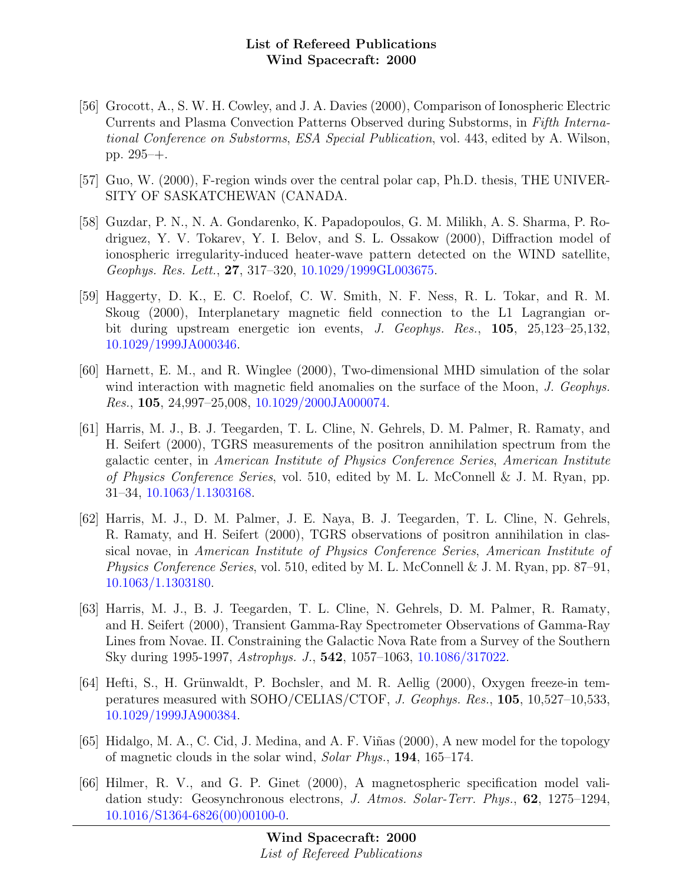- [56] Grocott, A., S. W. H. Cowley, and J. A. Davies (2000), Comparison of Ionospheric Electric Currents and Plasma Convection Patterns Observed during Substorms, in Fifth International Conference on Substorms, ESA Special Publication, vol. 443, edited by A. Wilson, pp. 295–+.
- [57] Guo, W. (2000), F-region winds over the central polar cap, Ph.D. thesis, THE UNIVER-SITY OF SASKATCHEWAN (CANADA.
- [58] Guzdar, P. N., N. A. Gondarenko, K. Papadopoulos, G. M. Milikh, A. S. Sharma, P. Rodriguez, Y. V. Tokarev, Y. I. Belov, and S. L. Ossakow (2000), Diffraction model of ionospheric irregularity-induced heater-wave pattern detected on the WIND satellite, Geophys. Res. Lett., 27, 317–320, [10.1029/1999GL003675.](http://dx.doi.org/10.1029/1999GL003675)
- [59] Haggerty, D. K., E. C. Roelof, C. W. Smith, N. F. Ness, R. L. Tokar, and R. M. Skoug (2000), Interplanetary magnetic field connection to the L1 Lagrangian orbit during upstream energetic ion events, J. Geophys. Res., 105, 25,123–25,132, [10.1029/1999JA000346.](http://dx.doi.org/10.1029/1999JA000346)
- [60] Harnett, E. M., and R. Winglee (2000), Two-dimensional MHD simulation of the solar wind interaction with magnetic field anomalies on the surface of the Moon, J. Geophys. Res., 105, 24,997–25,008, [10.1029/2000JA000074.](http://dx.doi.org/10.1029/2000JA000074)
- [61] Harris, M. J., B. J. Teegarden, T. L. Cline, N. Gehrels, D. M. Palmer, R. Ramaty, and H. Seifert (2000), TGRS measurements of the positron annihilation spectrum from the galactic center, in American Institute of Physics Conference Series, American Institute of Physics Conference Series, vol. 510, edited by M. L. McConnell & J. M. Ryan, pp. 31–34, [10.1063/1.1303168.](http://dx.doi.org/10.1063/1.1303168)
- [62] Harris, M. J., D. M. Palmer, J. E. Naya, B. J. Teegarden, T. L. Cline, N. Gehrels, R. Ramaty, and H. Seifert (2000), TGRS observations of positron annihilation in classical novae, in American Institute of Physics Conference Series, American Institute of Physics Conference Series, vol. 510, edited by M. L. McConnell & J. M. Ryan, pp. 87–91, [10.1063/1.1303180.](http://dx.doi.org/10.1063/1.1303180)
- [63] Harris, M. J., B. J. Teegarden, T. L. Cline, N. Gehrels, D. M. Palmer, R. Ramaty, and H. Seifert (2000), Transient Gamma-Ray Spectrometer Observations of Gamma-Ray Lines from Novae. II. Constraining the Galactic Nova Rate from a Survey of the Southern Sky during 1995-1997, Astrophys. J., 542, 1057–1063, [10.1086/317022.](http://dx.doi.org/10.1086/317022)
- [64] Hefti, S., H. Grünwaldt, P. Bochsler, and M. R. Aellig (2000), Oxygen freeze-in temperatures measured with SOHO/CELIAS/CTOF, J. Geophys. Res., 105, 10,527–10,533, [10.1029/1999JA900384.](http://dx.doi.org/10.1029/1999JA900384)
- [65] Hidalgo, M. A., C. Cid, J. Medina, and A. F. Viñas (2000), A new model for the topology of magnetic clouds in the solar wind, Solar Phys., 194, 165–174.
- [66] Hilmer, R. V., and G. P. Ginet (2000), A magnetospheric specification model validation study: Geosynchronous electrons, J. Atmos. Solar-Terr. Phys., 62, 1275–1294, [10.1016/S1364-6826\(00\)00100-0.](http://dx.doi.org/10.1016/S1364-6826(00)00100-0)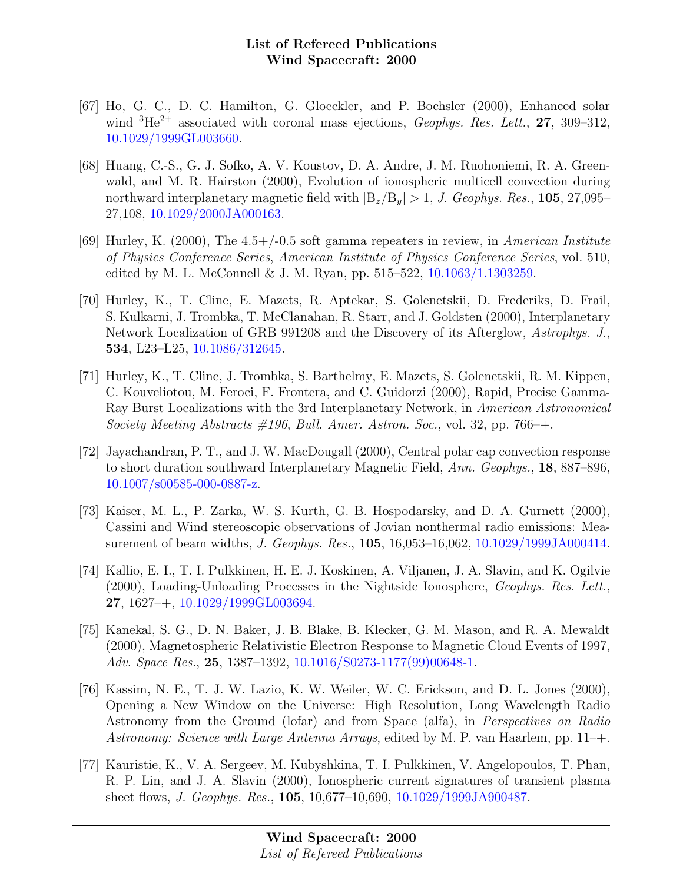- [67] Ho, G. C., D. C. Hamilton, G. Gloeckler, and P. Bochsler (2000), Enhanced solar wind  ${}^{3}\text{He}^{2+}$  associated with coronal mass ejections, *Geophys. Res. Lett.*, **27**, 309–312, [10.1029/1999GL003660.](http://dx.doi.org/10.1029/1999GL003660)
- [68] Huang, C.-S., G. J. Sofko, A. V. Koustov, D. A. Andre, J. M. Ruohoniemi, R. A. Greenwald, and M. R. Hairston (2000), Evolution of ionospheric multicell convection during northward interplanetary magnetic field with  $|B_z/B_y| > 1$ , J. Geophys. Res., 105, 27,095– 27,108, [10.1029/2000JA000163.](http://dx.doi.org/10.1029/2000JA000163)
- [69] Hurley, K. (2000), The  $4.5+/-0.5$  soft gamma repeaters in review, in American Institute of Physics Conference Series, American Institute of Physics Conference Series, vol. 510, edited by M. L. McConnell & J. M. Ryan, pp. 515–522,  $10.1063/1.1303259$ .
- [70] Hurley, K., T. Cline, E. Mazets, R. Aptekar, S. Golenetskii, D. Frederiks, D. Frail, S. Kulkarni, J. Trombka, T. McClanahan, R. Starr, and J. Goldsten (2000), Interplanetary Network Localization of GRB 991208 and the Discovery of its Afterglow, Astrophys. J., 534, L23–L25, [10.1086/312645.](http://dx.doi.org/10.1086/312645)
- [71] Hurley, K., T. Cline, J. Trombka, S. Barthelmy, E. Mazets, S. Golenetskii, R. M. Kippen, C. Kouveliotou, M. Feroci, F. Frontera, and C. Guidorzi (2000), Rapid, Precise Gamma-Ray Burst Localizations with the 3rd Interplanetary Network, in American Astronomical Society Meeting Abstracts  $\#196$ , Bull. Amer. Astron. Soc., vol. 32, pp. 766–+.
- [72] Jayachandran, P. T., and J. W. MacDougall (2000), Central polar cap convection response to short duration southward Interplanetary Magnetic Field, Ann. Geophys., 18, 887–896, [10.1007/s00585-000-0887-z.](http://dx.doi.org/10.1007/s00585-000-0887-z)
- [73] Kaiser, M. L., P. Zarka, W. S. Kurth, G. B. Hospodarsky, and D. A. Gurnett (2000), Cassini and Wind stereoscopic observations of Jovian nonthermal radio emissions: Measurement of beam widths, J. Geophys. Res., 105, 16,053–16,062, [10.1029/1999JA000414.](http://dx.doi.org/10.1029/1999JA000414)
- [74] Kallio, E. I., T. I. Pulkkinen, H. E. J. Koskinen, A. Viljanen, J. A. Slavin, and K. Ogilvie (2000), Loading-Unloading Processes in the Nightside Ionosphere, Geophys. Res. Lett., 27, 1627–+, [10.1029/1999GL003694.](http://dx.doi.org/10.1029/1999GL003694)
- [75] Kanekal, S. G., D. N. Baker, J. B. Blake, B. Klecker, G. M. Mason, and R. A. Mewaldt (2000), Magnetospheric Relativistic Electron Response to Magnetic Cloud Events of 1997, Adv. Space Res., 25, 1387–1392, [10.1016/S0273-1177\(99\)00648-1.](http://dx.doi.org/10.1016/S0273-1177(99)00648-1)
- [76] Kassim, N. E., T. J. W. Lazio, K. W. Weiler, W. C. Erickson, and D. L. Jones (2000), Opening a New Window on the Universe: High Resolution, Long Wavelength Radio Astronomy from the Ground (lofar) and from Space (alfa), in Perspectives on Radio Astronomy: Science with Large Antenna Arrays, edited by M. P. van Haarlem, pp. 11–+.
- [77] Kauristie, K., V. A. Sergeev, M. Kubyshkina, T. I. Pulkkinen, V. Angelopoulos, T. Phan, R. P. Lin, and J. A. Slavin (2000), Ionospheric current signatures of transient plasma sheet flows, J. Geophys. Res., 105, 10,677–10,690, [10.1029/1999JA900487.](http://dx.doi.org/10.1029/1999JA900487)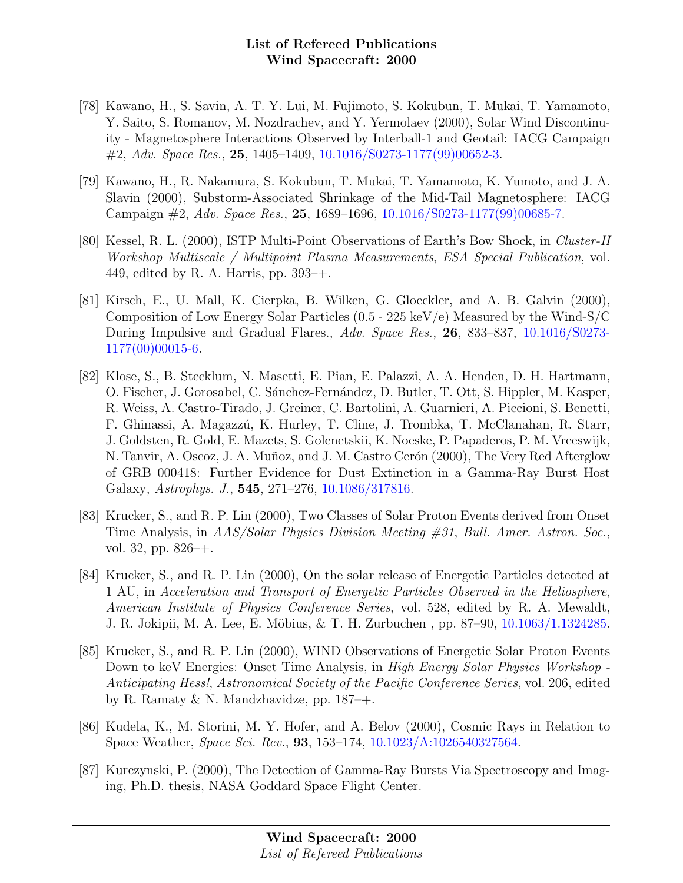- [78] Kawano, H., S. Savin, A. T. Y. Lui, M. Fujimoto, S. Kokubun, T. Mukai, T. Yamamoto, Y. Saito, S. Romanov, M. Nozdrachev, and Y. Yermolaev (2000), Solar Wind Discontinuity - Magnetosphere Interactions Observed by Interball-1 and Geotail: IACG Campaign  $\#2$ , Adv. Space Res., 25, 1405–1409, [10.1016/S0273-1177\(99\)00652-3.](http://dx.doi.org/10.1016/S0273-1177(99)00652-3)
- [79] Kawano, H., R. Nakamura, S. Kokubun, T. Mukai, T. Yamamoto, K. Yumoto, and J. A. Slavin (2000), Substorm-Associated Shrinkage of the Mid-Tail Magnetosphere: IACG Campaign #2, Adv. Space Res., 25, 1689–1696, [10.1016/S0273-1177\(99\)00685-7.](http://dx.doi.org/10.1016/S0273-1177(99)00685-7)
- [80] Kessel, R. L. (2000), ISTP Multi-Point Observations of Earth's Bow Shock, in Cluster-II Workshop Multiscale / Multipoint Plasma Measurements, ESA Special Publication, vol. 449, edited by R. A. Harris, pp.  $393$ –+.
- [81] Kirsch, E., U. Mall, K. Cierpka, B. Wilken, G. Gloeckler, and A. B. Galvin (2000), Composition of Low Energy Solar Particles (0.5 - 225 keV/e) Measured by the Wind-S/C During Impulsive and Gradual Flares., Adv. Space Res., 26, 833–837, [10.1016/S0273-](http://dx.doi.org/10.1016/S0273-1177(00)00015-6) [1177\(00\)00015-6.](http://dx.doi.org/10.1016/S0273-1177(00)00015-6)
- [82] Klose, S., B. Stecklum, N. Masetti, E. Pian, E. Palazzi, A. A. Henden, D. H. Hartmann, O. Fischer, J. Gorosabel, C. Sánchez-Fernández, D. Butler, T. Ott, S. Hippler, M. Kasper, R. Weiss, A. Castro-Tirado, J. Greiner, C. Bartolini, A. Guarnieri, A. Piccioni, S. Benetti, F. Ghinassi, A. Magazz´u, K. Hurley, T. Cline, J. Trombka, T. McClanahan, R. Starr, J. Goldsten, R. Gold, E. Mazets, S. Golenetskii, K. Noeske, P. Papaderos, P. M. Vreeswijk, N. Tanvir, A. Oscoz, J. A. Muñoz, and J. M. Castro Cerón (2000), The Very Red Afterglow of GRB 000418: Further Evidence for Dust Extinction in a Gamma-Ray Burst Host Galaxy, Astrophys. J., 545, 271–276, [10.1086/317816.](http://dx.doi.org/10.1086/317816)
- [83] Krucker, S., and R. P. Lin (2000), Two Classes of Solar Proton Events derived from Onset Time Analysis, in AAS/Solar Physics Division Meeting #31, Bull. Amer. Astron. Soc., vol. 32, pp. 826–+.
- [84] Krucker, S., and R. P. Lin (2000), On the solar release of Energetic Particles detected at 1 AU, in Acceleration and Transport of Energetic Particles Observed in the Heliosphere, American Institute of Physics Conference Series, vol. 528, edited by R. A. Mewaldt, J. R. Jokipii, M. A. Lee, E. Möbius, & T. H. Zurbuchen, pp. 87–90, [10.1063/1.1324285.](http://dx.doi.org/10.1063/1.1324285)
- [85] Krucker, S., and R. P. Lin (2000), WIND Observations of Energetic Solar Proton Events Down to keV Energies: Onset Time Analysis, in *High Energy Solar Physics Workshop* -Anticipating Hess!, Astronomical Society of the Pacific Conference Series, vol. 206, edited by R. Ramaty & N. Mandzhavidze, pp. 187–+.
- [86] Kudela, K., M. Storini, M. Y. Hofer, and A. Belov (2000), Cosmic Rays in Relation to Space Weather, Space Sci. Rev., 93, 153–174, [10.1023/A:1026540327564.](http://dx.doi.org/10.1023/A:1026540327564)
- [87] Kurczynski, P. (2000), The Detection of Gamma-Ray Bursts Via Spectroscopy and Imaging, Ph.D. thesis, NASA Goddard Space Flight Center.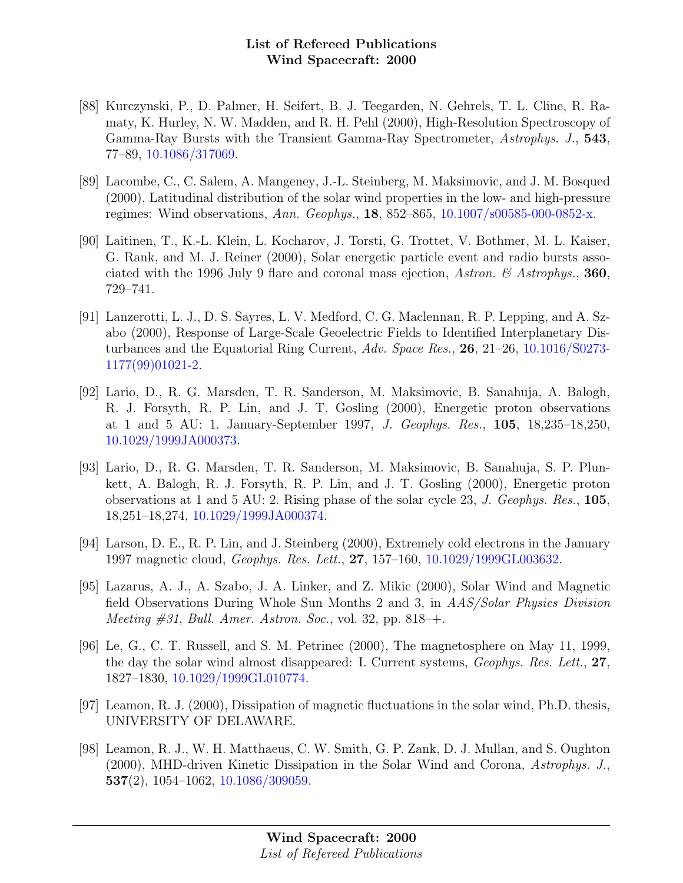- [88] Kurczynski, P., D. Palmer, H. Seifert, B. J. Teegarden, N. Gehrels, T. L. Cline, R. Ramaty, K. Hurley, N. W. Madden, and R. H. Pehl (2000), High-Resolution Spectroscopy of Gamma-Ray Bursts with the Transient Gamma-Ray Spectrometer, Astrophys. J., 543, 77–89, [10.1086/317069.](http://dx.doi.org/10.1086/317069)
- [89] Lacombe, C., C. Salem, A. Mangeney, J.-L. Steinberg, M. Maksimovic, and J. M. Bosqued (2000), Latitudinal distribution of the solar wind properties in the low- and high-pressure regimes: Wind observations, Ann. Geophys., 18, 852–865, [10.1007/s00585-000-0852-x.](http://dx.doi.org/10.1007/s00585-000-0852-x)
- [90] Laitinen, T., K.-L. Klein, L. Kocharov, J. Torsti, G. Trottet, V. Bothmer, M. L. Kaiser, G. Rank, and M. J. Reiner (2000), Solar energetic particle event and radio bursts associated with the 1996 July 9 flare and coronal mass ejection, Astron.  $\mathscr B$  Astrophys., 360, 729–741.
- [91] Lanzerotti, L. J., D. S. Sayres, L. V. Medford, C. G. Maclennan, R. P. Lepping, and A. Szabo (2000), Response of Large-Scale Geoelectric Fields to Identified Interplanetary Disturbances and the Equatorial Ring Current, Adv. Space Res., 26, 21–26, [10.1016/S0273-](http://dx.doi.org/10.1016/S0273-1177(99)01021-2) [1177\(99\)01021-2.](http://dx.doi.org/10.1016/S0273-1177(99)01021-2)
- [92] Lario, D., R. G. Marsden, T. R. Sanderson, M. Maksimovic, B. Sanahuja, A. Balogh, R. J. Forsyth, R. P. Lin, and J. T. Gosling (2000), Energetic proton observations at 1 and 5 AU: 1. January-September 1997, J. Geophys. Res., 105, 18,235–18,250, [10.1029/1999JA000373.](http://dx.doi.org/10.1029/1999JA000373)
- [93] Lario, D., R. G. Marsden, T. R. Sanderson, M. Maksimovic, B. Sanahuja, S. P. Plunkett, A. Balogh, R. J. Forsyth, R. P. Lin, and J. T. Gosling (2000), Energetic proton observations at 1 and 5 AU: 2. Rising phase of the solar cycle 23, J. Geophys. Res., 105, 18,251–18,274, [10.1029/1999JA000374.](http://dx.doi.org/10.1029/1999JA000374)
- [94] Larson, D. E., R. P. Lin, and J. Steinberg (2000), Extremely cold electrons in the January 1997 magnetic cloud, Geophys. Res. Lett., 27, 157–160, [10.1029/1999GL003632.](http://dx.doi.org/10.1029/1999GL003632)
- [95] Lazarus, A. J., A. Szabo, J. A. Linker, and Z. Mikic (2000), Solar Wind and Magnetic field Observations During Whole Sun Months 2 and 3, in AAS/Solar Physics Division Meeting  $\#31$ , Bull. Amer. Astron. Soc., vol. 32, pp. 818–+.
- [96] Le, G., C. T. Russell, and S. M. Petrinec (2000), The magnetosphere on May 11, 1999, the day the solar wind almost disappeared: I. Current systems, Geophys. Res. Lett., 27, 1827–1830, [10.1029/1999GL010774.](http://dx.doi.org/10.1029/1999GL010774)
- [97] Leamon, R. J. (2000), Dissipation of magnetic fluctuations in the solar wind, Ph.D. thesis, UNIVERSITY OF DELAWARE.
- [98] Leamon, R. J., W. H. Matthaeus, C. W. Smith, G. P. Zank, D. J. Mullan, and S. Oughton (2000), MHD-driven Kinetic Dissipation in the Solar Wind and Corona, Astrophys. J., 537(2), 1054–1062, [10.1086/309059.](http://dx.doi.org/10.1086/309059)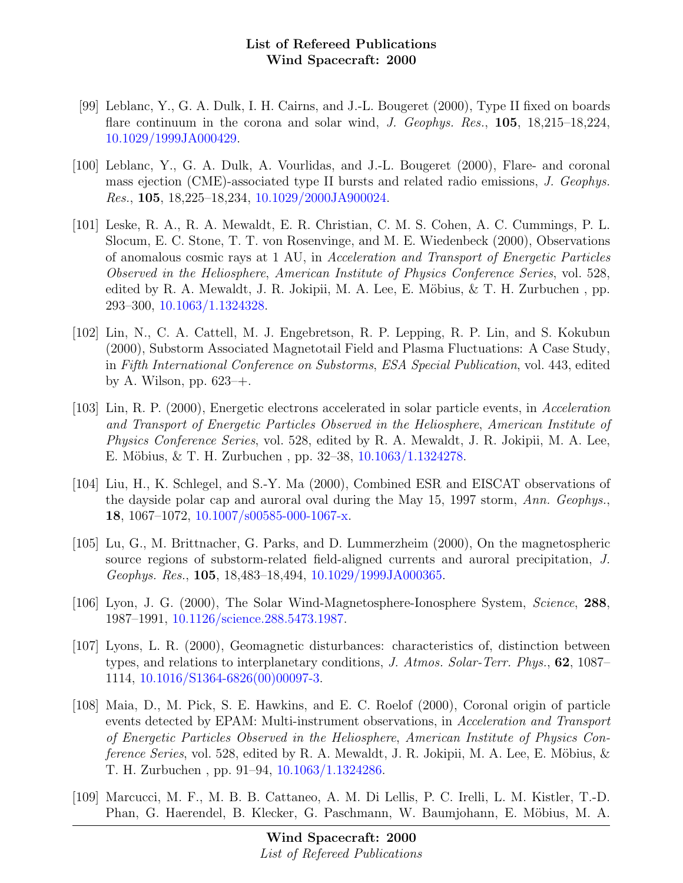- [99] Leblanc, Y., G. A. Dulk, I. H. Cairns, and J.-L. Bougeret (2000), Type II fixed on boards flare continuum in the corona and solar wind, J. Geophys. Res., 105, 18,215–18,224, [10.1029/1999JA000429.](http://dx.doi.org/10.1029/1999JA000429)
- [100] Leblanc, Y., G. A. Dulk, A. Vourlidas, and J.-L. Bougeret (2000), Flare- and coronal mass ejection (CME)-associated type II bursts and related radio emissions, J. Geophys. Res., 105, 18,225–18,234, [10.1029/2000JA900024.](http://dx.doi.org/10.1029/2000JA900024)
- [101] Leske, R. A., R. A. Mewaldt, E. R. Christian, C. M. S. Cohen, A. C. Cummings, P. L. Slocum, E. C. Stone, T. T. von Rosenvinge, and M. E. Wiedenbeck (2000), Observations of anomalous cosmic rays at 1 AU, in Acceleration and Transport of Energetic Particles Observed in the Heliosphere, American Institute of Physics Conference Series, vol. 528, edited by R. A. Mewaldt, J. R. Jokipii, M. A. Lee, E. Möbius,  $\&$  T. H. Zurbuchen, pp. 293–300, [10.1063/1.1324328.](http://dx.doi.org/10.1063/1.1324328)
- [102] Lin, N., C. A. Cattell, M. J. Engebretson, R. P. Lepping, R. P. Lin, and S. Kokubun (2000), Substorm Associated Magnetotail Field and Plasma Fluctuations: A Case Study, in Fifth International Conference on Substorms, ESA Special Publication, vol. 443, edited by A. Wilson, pp. 623–+.
- [103] Lin, R. P. (2000), Energetic electrons accelerated in solar particle events, in Acceleration and Transport of Energetic Particles Observed in the Heliosphere, American Institute of Physics Conference Series, vol. 528, edited by R. A. Mewaldt, J. R. Jokipii, M. A. Lee, E. Möbius, & T. H. Zurbuchen, pp.  $32-38$ ,  $10.1063/1.1324278$ .
- [104] Liu, H., K. Schlegel, and S.-Y. Ma (2000), Combined ESR and EISCAT observations of the dayside polar cap and auroral oval during the May 15, 1997 storm, Ann. Geophys., 18, 1067–1072, [10.1007/s00585-000-1067-x.](http://dx.doi.org/10.1007/s00585-000-1067-x)
- [105] Lu, G., M. Brittnacher, G. Parks, and D. Lummerzheim (2000), On the magnetospheric source regions of substorm-related field-aligned currents and auroral precipitation, J. Geophys. Res., 105, 18,483–18,494, [10.1029/1999JA000365.](http://dx.doi.org/10.1029/1999JA000365)
- [106] Lyon, J. G. (2000), The Solar Wind-Magnetosphere-Ionosphere System, Science, 288, 1987–1991, [10.1126/science.288.5473.1987.](http://dx.doi.org/10.1126/science.288.5473.1987)
- [107] Lyons, L. R. (2000), Geomagnetic disturbances: characteristics of, distinction between types, and relations to interplanetary conditions, J. Atmos. Solar-Terr. Phys., 62, 1087– 1114, [10.1016/S1364-6826\(00\)00097-3.](http://dx.doi.org/10.1016/S1364-6826(00)00097-3)
- [108] Maia, D., M. Pick, S. E. Hawkins, and E. C. Roelof (2000), Coronal origin of particle events detected by EPAM: Multi-instrument observations, in Acceleration and Transport of Energetic Particles Observed in the Heliosphere, American Institute of Physics Con*ference Series*, vol. 528, edited by R. A. Mewaldt, J. R. Jokipii, M. A. Lee, E. Möbius,  $\&$ T. H. Zurbuchen , pp. 91–94, [10.1063/1.1324286.](http://dx.doi.org/10.1063/1.1324286)
- [109] Marcucci, M. F., M. B. B. Cattaneo, A. M. Di Lellis, P. C. Irelli, L. M. Kistler, T.-D. Phan, G. Haerendel, B. Klecker, G. Paschmann, W. Baumjohann, E. Möbius, M. A.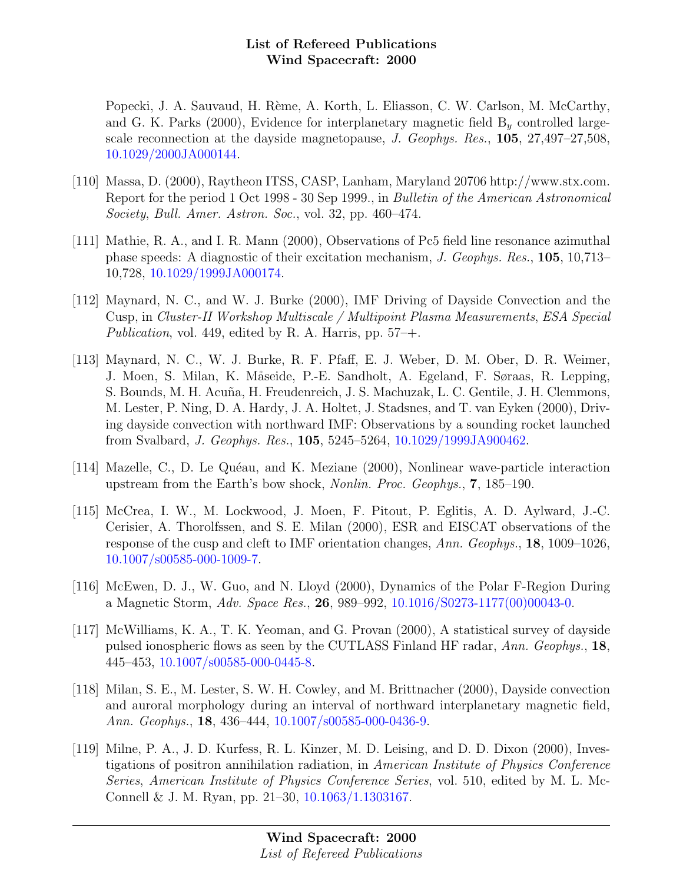Popecki, J. A. Sauvaud, H. Rème, A. Korth, L. Eliasson, C. W. Carlson, M. McCarthy, and G. K. Parks (2000), Evidence for interplanetary magnetic field  $B<sub>y</sub>$  controlled largescale reconnection at the dayside magnetopause, J. Geophys. Res., 105, 27,497–27,508, [10.1029/2000JA000144.](http://dx.doi.org/10.1029/2000JA000144)

- [110] Massa, D. (2000), Raytheon ITSS, CASP, Lanham, Maryland 20706 http://www.stx.com. Report for the period 1 Oct 1998 - 30 Sep 1999., in Bulletin of the American Astronomical Society, Bull. Amer. Astron. Soc., vol. 32, pp. 460–474.
- [111] Mathie, R. A., and I. R. Mann (2000), Observations of Pc5 field line resonance azimuthal phase speeds: A diagnostic of their excitation mechanism, J. Geophys. Res., 105, 10,713– 10,728, [10.1029/1999JA000174.](http://dx.doi.org/10.1029/1999JA000174)
- [112] Maynard, N. C., and W. J. Burke (2000), IMF Driving of Dayside Convection and the Cusp, in Cluster-II Workshop Multiscale / Multipoint Plasma Measurements, ESA Special Publication, vol. 449, edited by R. A. Harris, pp.  $57-+$ .
- [113] Maynard, N. C., W. J. Burke, R. F. Pfaff, E. J. Weber, D. M. Ober, D. R. Weimer, J. Moen, S. Milan, K. Måseide, P.-E. Sandholt, A. Egeland, F. Søraas, R. Lepping, S. Bounds, M. H. Acuña, H. Freudenreich, J. S. Machuzak, L. C. Gentile, J. H. Clemmons, M. Lester, P. Ning, D. A. Hardy, J. A. Holtet, J. Stadsnes, and T. van Eyken (2000), Driving dayside convection with northward IMF: Observations by a sounding rocket launched from Svalbard, J. Geophys. Res., 105, 5245–5264, [10.1029/1999JA900462.](http://dx.doi.org/10.1029/1999JA900462)
- [114] Mazelle, C., D. Le Quéau, and K. Meziane (2000), Nonlinear wave-particle interaction upstream from the Earth's bow shock, Nonlin. Proc. Geophys., 7, 185–190.
- [115] McCrea, I. W., M. Lockwood, J. Moen, F. Pitout, P. Eglitis, A. D. Aylward, J.-C. Cerisier, A. Thorolfssen, and S. E. Milan (2000), ESR and EISCAT observations of the response of the cusp and cleft to IMF orientation changes, Ann. Geophys., 18, 1009–1026, [10.1007/s00585-000-1009-7.](http://dx.doi.org/10.1007/s00585-000-1009-7)
- [116] McEwen, D. J., W. Guo, and N. Lloyd (2000), Dynamics of the Polar F-Region During a Magnetic Storm, Adv. Space Res., 26, 989–992, [10.1016/S0273-1177\(00\)00043-0.](http://dx.doi.org/10.1016/S0273-1177(00)00043-0)
- [117] McWilliams, K. A., T. K. Yeoman, and G. Provan (2000), A statistical survey of dayside pulsed ionospheric flows as seen by the CUTLASS Finland HF radar, Ann. Geophys., 18, 445–453, [10.1007/s00585-000-0445-8.](http://dx.doi.org/10.1007/s00585-000-0445-8)
- [118] Milan, S. E., M. Lester, S. W. H. Cowley, and M. Brittnacher (2000), Dayside convection and auroral morphology during an interval of northward interplanetary magnetic field, Ann. Geophys., 18, 436–444, [10.1007/s00585-000-0436-9.](http://dx.doi.org/10.1007/s00585-000-0436-9)
- [119] Milne, P. A., J. D. Kurfess, R. L. Kinzer, M. D. Leising, and D. D. Dixon (2000), Investigations of positron annihilation radiation, in American Institute of Physics Conference Series, American Institute of Physics Conference Series, vol. 510, edited by M. L. Mc-Connell & J. M. Ryan, pp. 21–30, [10.1063/1.1303167.](http://dx.doi.org/10.1063/1.1303167)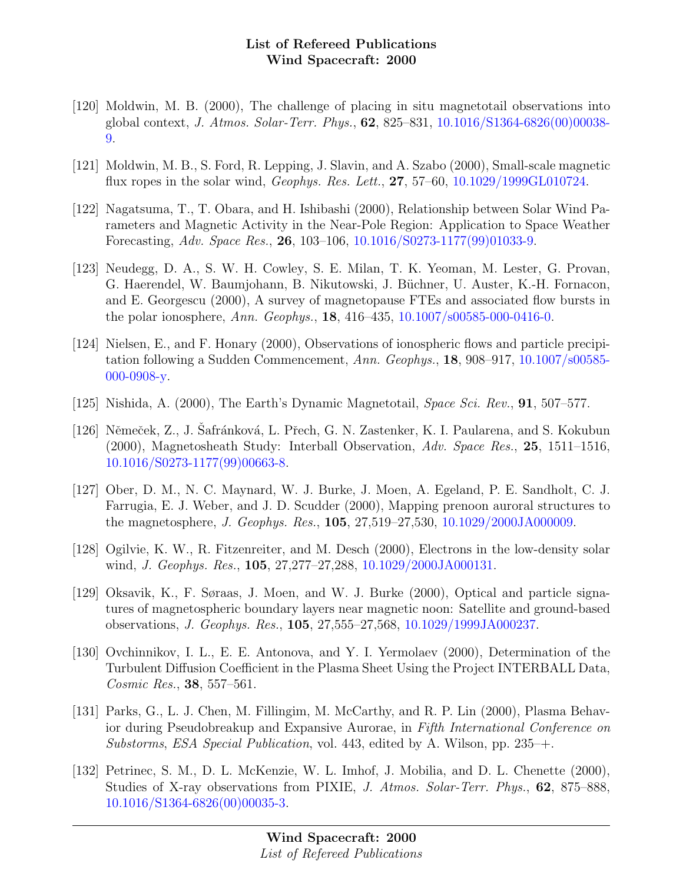- [120] Moldwin, M. B. (2000), The challenge of placing in situ magnetotail observations into global context, J. Atmos. Solar-Terr. Phys., 62, 825–831, [10.1016/S1364-6826\(00\)00038-](http://dx.doi.org/10.1016/S1364-6826(00)00038-9) [9.](http://dx.doi.org/10.1016/S1364-6826(00)00038-9)
- [121] Moldwin, M. B., S. Ford, R. Lepping, J. Slavin, and A. Szabo (2000), Small-scale magnetic flux ropes in the solar wind, Geophys. Res. Lett., 27, 57–60, [10.1029/1999GL010724.](http://dx.doi.org/10.1029/1999GL010724)
- [122] Nagatsuma, T., T. Obara, and H. Ishibashi (2000), Relationship between Solar Wind Parameters and Magnetic Activity in the Near-Pole Region: Application to Space Weather Forecasting, Adv. Space Res., 26, 103–106, [10.1016/S0273-1177\(99\)01033-9.](http://dx.doi.org/10.1016/S0273-1177(99)01033-9)
- [123] Neudegg, D. A., S. W. H. Cowley, S. E. Milan, T. K. Yeoman, M. Lester, G. Provan, G. Haerendel, W. Baumjohann, B. Nikutowski, J. Büchner, U. Auster, K.-H. Fornacon, and E. Georgescu (2000), A survey of magnetopause FTEs and associated flow bursts in the polar ionosphere, Ann. Geophys., 18, 416–435, [10.1007/s00585-000-0416-0.](http://dx.doi.org/10.1007/s00585-000-0416-0)
- [124] Nielsen, E., and F. Honary (2000), Observations of ionospheric flows and particle precipitation following a Sudden Commencement, Ann. Geophys., 18, 908–917, [10.1007/s00585-](http://dx.doi.org/10.1007/s00585-000-0908-y) [000-0908-y.](http://dx.doi.org/10.1007/s00585-000-0908-y)
- [125] Nishida, A. (2000), The Earth's Dynamic Magnetotail, Space Sci. Rev., 91, 507–577.
- [126] Němeček, Z., J. Safránková, L. Přech, G. N. Zastenker, K. I. Paularena, and S. Kokubun (2000), Magnetosheath Study: Interball Observation, Adv. Space Res., 25, 1511–1516, [10.1016/S0273-1177\(99\)00663-8.](http://dx.doi.org/10.1016/S0273-1177(99)00663-8)
- [127] Ober, D. M., N. C. Maynard, W. J. Burke, J. Moen, A. Egeland, P. E. Sandholt, C. J. Farrugia, E. J. Weber, and J. D. Scudder (2000), Mapping prenoon auroral structures to the magnetosphere, J. Geophys. Res., 105, 27,519–27,530, [10.1029/2000JA000009.](http://dx.doi.org/10.1029/2000JA000009)
- [128] Ogilvie, K. W., R. Fitzenreiter, and M. Desch (2000), Electrons in the low-density solar wind, J. Geophys. Res., 105, 27,277–27,288, [10.1029/2000JA000131.](http://dx.doi.org/10.1029/2000JA000131)
- [129] Oksavik, K., F. Søraas, J. Moen, and W. J. Burke (2000), Optical and particle signatures of magnetospheric boundary layers near magnetic noon: Satellite and ground-based observations, J. Geophys. Res., 105, 27,555–27,568, [10.1029/1999JA000237.](http://dx.doi.org/10.1029/1999JA000237)
- [130] Ovchinnikov, I. L., E. E. Antonova, and Y. I. Yermolaev (2000), Determination of the Turbulent Diffusion Coefficient in the Plasma Sheet Using the Project INTERBALL Data, Cosmic Res., **38**, 557–561.
- [131] Parks, G., L. J. Chen, M. Fillingim, M. McCarthy, and R. P. Lin (2000), Plasma Behavior during Pseudobreakup and Expansive Aurorae, in Fifth International Conference on Substorms, ESA Special Publication, vol. 443, edited by A. Wilson, pp. 235–+.
- [132] Petrinec, S. M., D. L. McKenzie, W. L. Imhof, J. Mobilia, and D. L. Chenette (2000), Studies of X-ray observations from PIXIE, J. Atmos. Solar-Terr. Phys., 62, 875–888, [10.1016/S1364-6826\(00\)00035-3.](http://dx.doi.org/10.1016/S1364-6826(00)00035-3)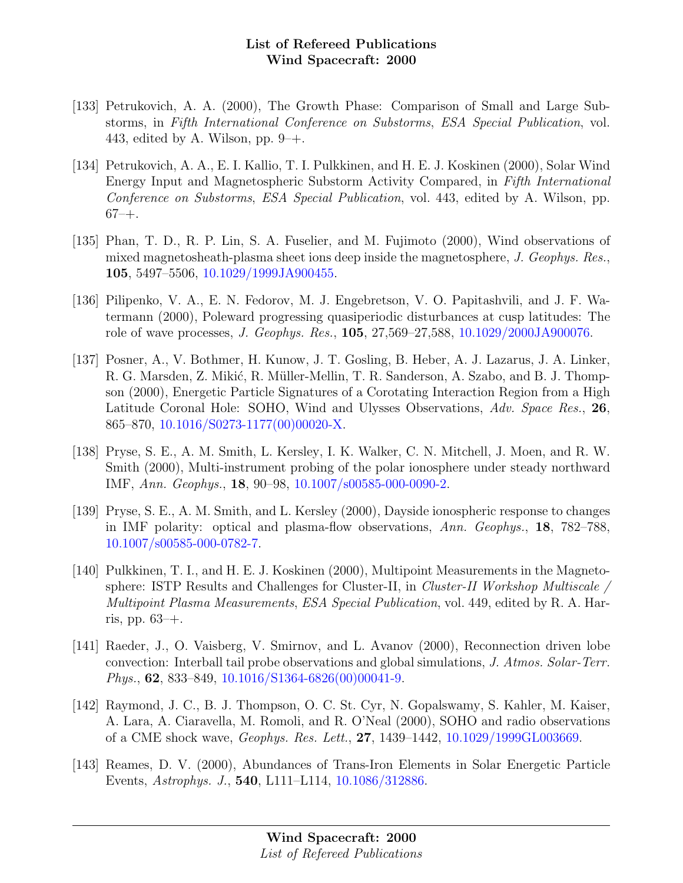- [133] Petrukovich, A. A. (2000), The Growth Phase: Comparison of Small and Large Substorms, in Fifth International Conference on Substorms, ESA Special Publication, vol. 443, edited by A. Wilson, pp.  $9-+$ .
- [134] Petrukovich, A. A., E. I. Kallio, T. I. Pulkkinen, and H. E. J. Koskinen (2000), Solar Wind Energy Input and Magnetospheric Substorm Activity Compared, in Fifth International Conference on Substorms, ESA Special Publication, vol. 443, edited by A. Wilson, pp.  $67 - +$ .
- [135] Phan, T. D., R. P. Lin, S. A. Fuselier, and M. Fujimoto (2000), Wind observations of mixed magnetosheath-plasma sheet ions deep inside the magnetosphere, J. Geophys. Res., 105, 5497–5506, [10.1029/1999JA900455.](http://dx.doi.org/10.1029/1999JA900455)
- [136] Pilipenko, V. A., E. N. Fedorov, M. J. Engebretson, V. O. Papitashvili, and J. F. Watermann (2000), Poleward progressing quasiperiodic disturbances at cusp latitudes: The role of wave processes, J. Geophys. Res., 105, 27,569–27,588, [10.1029/2000JA900076.](http://dx.doi.org/10.1029/2000JA900076)
- [137] Posner, A., V. Bothmer, H. Kunow, J. T. Gosling, B. Heber, A. J. Lazarus, J. A. Linker, R. G. Marsden, Z. Mikić, R. Müller-Mellin, T. R. Sanderson, A. Szabo, and B. J. Thompson (2000), Energetic Particle Signatures of a Corotating Interaction Region from a High Latitude Coronal Hole: SOHO, Wind and Ulysses Observations, Adv. Space Res., 26, 865–870, [10.1016/S0273-1177\(00\)00020-X.](http://dx.doi.org/10.1016/S0273-1177(00)00020-X)
- [138] Pryse, S. E., A. M. Smith, L. Kersley, I. K. Walker, C. N. Mitchell, J. Moen, and R. W. Smith (2000), Multi-instrument probing of the polar ionosphere under steady northward IMF, Ann. Geophys., 18, 90–98, [10.1007/s00585-000-0090-2.](http://dx.doi.org/10.1007/s00585-000-0090-2)
- [139] Pryse, S. E., A. M. Smith, and L. Kersley (2000), Dayside ionospheric response to changes in IMF polarity: optical and plasma-flow observations, Ann. Geophys., 18, 782–788, [10.1007/s00585-000-0782-7.](http://dx.doi.org/10.1007/s00585-000-0782-7)
- [140] Pulkkinen, T. I., and H. E. J. Koskinen (2000), Multipoint Measurements in the Magnetosphere: ISTP Results and Challenges for Cluster-II, in *Cluster-II Workshop Multiscale* Multipoint Plasma Measurements, ESA Special Publication, vol. 449, edited by R. A. Harris, pp. 63–+.
- [141] Raeder, J., O. Vaisberg, V. Smirnov, and L. Avanov (2000), Reconnection driven lobe convection: Interball tail probe observations and global simulations, J. Atmos. Solar-Terr. *Phys.*, **62**, 833–849, [10.1016/S1364-6826\(00\)00041-9.](http://dx.doi.org/10.1016/S1364-6826(00)00041-9)
- [142] Raymond, J. C., B. J. Thompson, O. C. St. Cyr, N. Gopalswamy, S. Kahler, M. Kaiser, A. Lara, A. Ciaravella, M. Romoli, and R. O'Neal (2000), SOHO and radio observations of a CME shock wave, Geophys. Res. Lett., 27, 1439–1442, [10.1029/1999GL003669.](http://dx.doi.org/10.1029/1999GL003669)
- [143] Reames, D. V. (2000), Abundances of Trans-Iron Elements in Solar Energetic Particle Events, Astrophys. J., 540, L111–L114, [10.1086/312886.](http://dx.doi.org/10.1086/312886)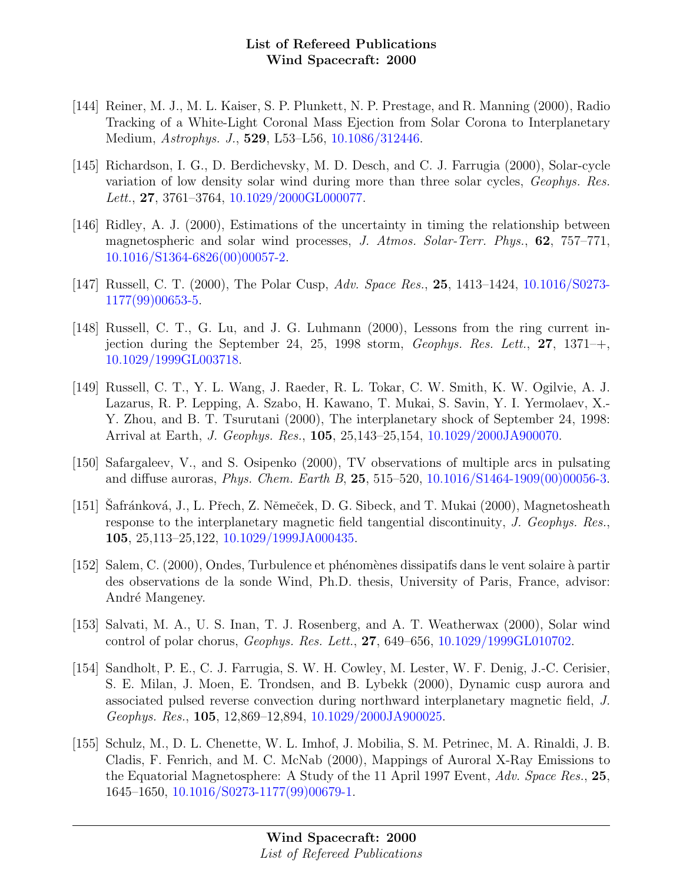- [144] Reiner, M. J., M. L. Kaiser, S. P. Plunkett, N. P. Prestage, and R. Manning (2000), Radio Tracking of a White-Light Coronal Mass Ejection from Solar Corona to Interplanetary Medium, Astrophys. J., 529, L53–L56, [10.1086/312446.](http://dx.doi.org/10.1086/312446)
- [145] Richardson, I. G., D. Berdichevsky, M. D. Desch, and C. J. Farrugia (2000), Solar-cycle variation of low density solar wind during more than three solar cycles, Geophys. Res. Lett., 27, 3761-3764, [10.1029/2000GL000077.](http://dx.doi.org/10.1029/2000GL000077)
- [146] Ridley, A. J. (2000), Estimations of the uncertainty in timing the relationship between magnetospheric and solar wind processes, J. Atmos. Solar-Terr. Phys., 62, 757–771, [10.1016/S1364-6826\(00\)00057-2.](http://dx.doi.org/10.1016/S1364-6826(00)00057-2)
- [147] Russell, C. T. (2000), The Polar Cusp, Adv. Space Res., 25, 1413–1424, [10.1016/S0273-](http://dx.doi.org/10.1016/S0273-1177(99)00653-5) [1177\(99\)00653-5.](http://dx.doi.org/10.1016/S0273-1177(99)00653-5)
- [148] Russell, C. T., G. Lu, and J. G. Luhmann (2000), Lessons from the ring current injection during the September 24, 25, 1998 storm,  $Geophys$ . Res. Lett., 27, 1371–+, [10.1029/1999GL003718.](http://dx.doi.org/10.1029/1999GL003718)
- [149] Russell, C. T., Y. L. Wang, J. Raeder, R. L. Tokar, C. W. Smith, K. W. Ogilvie, A. J. Lazarus, R. P. Lepping, A. Szabo, H. Kawano, T. Mukai, S. Savin, Y. I. Yermolaev, X.- Y. Zhou, and B. T. Tsurutani (2000), The interplanetary shock of September 24, 1998: Arrival at Earth, J. Geophys. Res., 105, 25,143–25,154, [10.1029/2000JA900070.](http://dx.doi.org/10.1029/2000JA900070)
- [150] Safargaleev, V., and S. Osipenko (2000), TV observations of multiple arcs in pulsating and diffuse auroras, Phys. Chem. Earth B, 25, 515–520, [10.1016/S1464-1909\(00\)00056-3.](http://dx.doi.org/10.1016/S1464-1909(00)00056-3)
- [151] Safránková, J., L. Přech, Z. Němeček, D. G. Sibeck, and T. Mukai (2000), Magnetosheath response to the interplanetary magnetic field tangential discontinuity, J. Geophys. Res., 105, 25,113–25,122, [10.1029/1999JA000435.](http://dx.doi.org/10.1029/1999JA000435)
- [152] Salem, C. (2000), Ondes, Turbulence et phénomènes dissipatifs dans le vent solaire à partir des observations de la sonde Wind, Ph.D. thesis, University of Paris, France, advisor: André Mangeney.
- [153] Salvati, M. A., U. S. Inan, T. J. Rosenberg, and A. T. Weatherwax (2000), Solar wind control of polar chorus, Geophys. Res. Lett., 27, 649–656, [10.1029/1999GL010702.](http://dx.doi.org/10.1029/1999GL010702)
- [154] Sandholt, P. E., C. J. Farrugia, S. W. H. Cowley, M. Lester, W. F. Denig, J.-C. Cerisier, S. E. Milan, J. Moen, E. Trondsen, and B. Lybekk (2000), Dynamic cusp aurora and associated pulsed reverse convection during northward interplanetary magnetic field, J. Geophys. Res., 105, 12,869–12,894, [10.1029/2000JA900025.](http://dx.doi.org/10.1029/2000JA900025)
- [155] Schulz, M., D. L. Chenette, W. L. Imhof, J. Mobilia, S. M. Petrinec, M. A. Rinaldi, J. B. Cladis, F. Fenrich, and M. C. McNab (2000), Mappings of Auroral X-Ray Emissions to the Equatorial Magnetosphere: A Study of the 11 April 1997 Event, Adv. Space Res., 25, 1645–1650, [10.1016/S0273-1177\(99\)00679-1.](http://dx.doi.org/10.1016/S0273-1177(99)00679-1)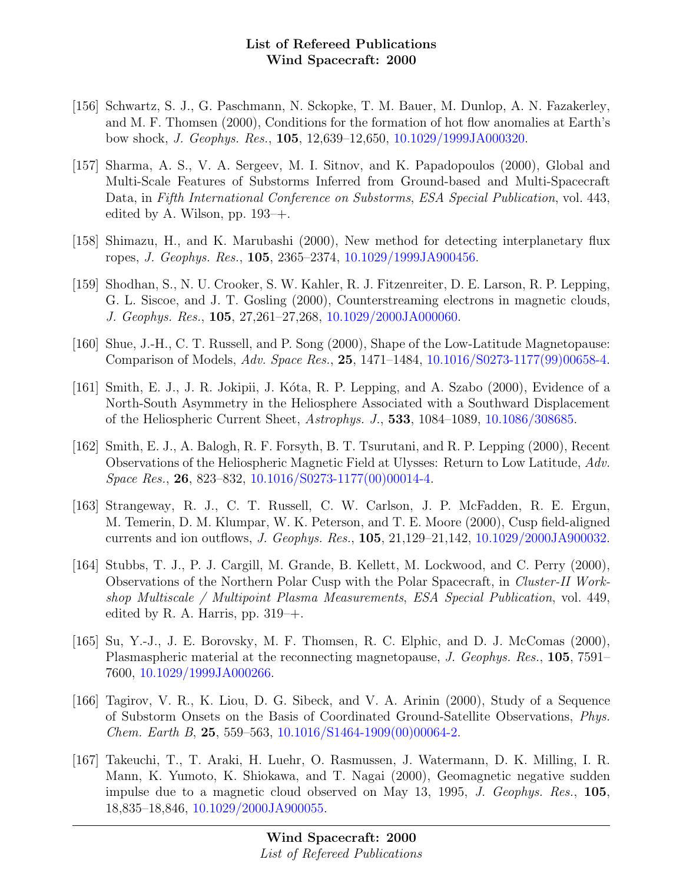- [156] Schwartz, S. J., G. Paschmann, N. Sckopke, T. M. Bauer, M. Dunlop, A. N. Fazakerley, and M. F. Thomsen (2000), Conditions for the formation of hot flow anomalies at Earth's bow shock, J. Geophys. Res., 105, 12,639–12,650, [10.1029/1999JA000320.](http://dx.doi.org/10.1029/1999JA000320)
- [157] Sharma, A. S., V. A. Sergeev, M. I. Sitnov, and K. Papadopoulos (2000), Global and Multi-Scale Features of Substorms Inferred from Ground-based and Multi-Spacecraft Data, in Fifth International Conference on Substorms, ESA Special Publication, vol. 443, edited by A. Wilson, pp.  $193-+$ .
- [158] Shimazu, H., and K. Marubashi (2000), New method for detecting interplanetary flux ropes, J. Geophys. Res., 105, 2365–2374, [10.1029/1999JA900456.](http://dx.doi.org/10.1029/1999JA900456)
- [159] Shodhan, S., N. U. Crooker, S. W. Kahler, R. J. Fitzenreiter, D. E. Larson, R. P. Lepping, G. L. Siscoe, and J. T. Gosling (2000), Counterstreaming electrons in magnetic clouds, J. Geophys. Res., 105, 27,261–27,268, [10.1029/2000JA000060.](http://dx.doi.org/10.1029/2000JA000060)
- [160] Shue, J.-H., C. T. Russell, and P. Song (2000), Shape of the Low-Latitude Magnetopause: Comparison of Models, Adv. Space Res., 25, 1471–1484, [10.1016/S0273-1177\(99\)00658-4.](http://dx.doi.org/10.1016/S0273-1177(99)00658-4)
- [161] Smith, E. J., J. R. Jokipii, J. Kóta, R. P. Lepping, and A. Szabo (2000), Evidence of a North-South Asymmetry in the Heliosphere Associated with a Southward Displacement of the Heliospheric Current Sheet, Astrophys. J., 533, 1084–1089, [10.1086/308685.](http://dx.doi.org/10.1086/308685)
- [162] Smith, E. J., A. Balogh, R. F. Forsyth, B. T. Tsurutani, and R. P. Lepping (2000), Recent Observations of the Heliospheric Magnetic Field at Ulysses: Return to Low Latitude, Adv. Space Res., 26, 823–832, [10.1016/S0273-1177\(00\)00014-4.](http://dx.doi.org/10.1016/S0273-1177(00)00014-4)
- [163] Strangeway, R. J., C. T. Russell, C. W. Carlson, J. P. McFadden, R. E. Ergun, M. Temerin, D. M. Klumpar, W. K. Peterson, and T. E. Moore (2000), Cusp field-aligned currents and ion outflows, J. Geophys. Res., 105, 21,129–21,142, [10.1029/2000JA900032.](http://dx.doi.org/10.1029/2000JA900032)
- [164] Stubbs, T. J., P. J. Cargill, M. Grande, B. Kellett, M. Lockwood, and C. Perry (2000), Observations of the Northern Polar Cusp with the Polar Spacecraft, in Cluster-II Workshop Multiscale / Multipoint Plasma Measurements, ESA Special Publication, vol. 449, edited by R. A. Harris, pp.  $319 - +$ .
- [165] Su, Y.-J., J. E. Borovsky, M. F. Thomsen, R. C. Elphic, and D. J. McComas (2000), Plasmaspheric material at the reconnecting magnetopause, J. Geophys. Res., 105, 7591– 7600, [10.1029/1999JA000266.](http://dx.doi.org/10.1029/1999JA000266)
- [166] Tagirov, V. R., K. Liou, D. G. Sibeck, and V. A. Arinin (2000), Study of a Sequence of Substorm Onsets on the Basis of Coordinated Ground-Satellite Observations, Phys.  $Chem.$  Earth B, 25, 559–563, [10.1016/S1464-1909\(00\)00064-2.](http://dx.doi.org/10.1016/S1464-1909(00)00064-2)
- [167] Takeuchi, T., T. Araki, H. Luehr, O. Rasmussen, J. Watermann, D. K. Milling, I. R. Mann, K. Yumoto, K. Shiokawa, and T. Nagai (2000), Geomagnetic negative sudden impulse due to a magnetic cloud observed on May 13, 1995, J. Geophys. Res., 105, 18,835–18,846, [10.1029/2000JA900055.](http://dx.doi.org/10.1029/2000JA900055)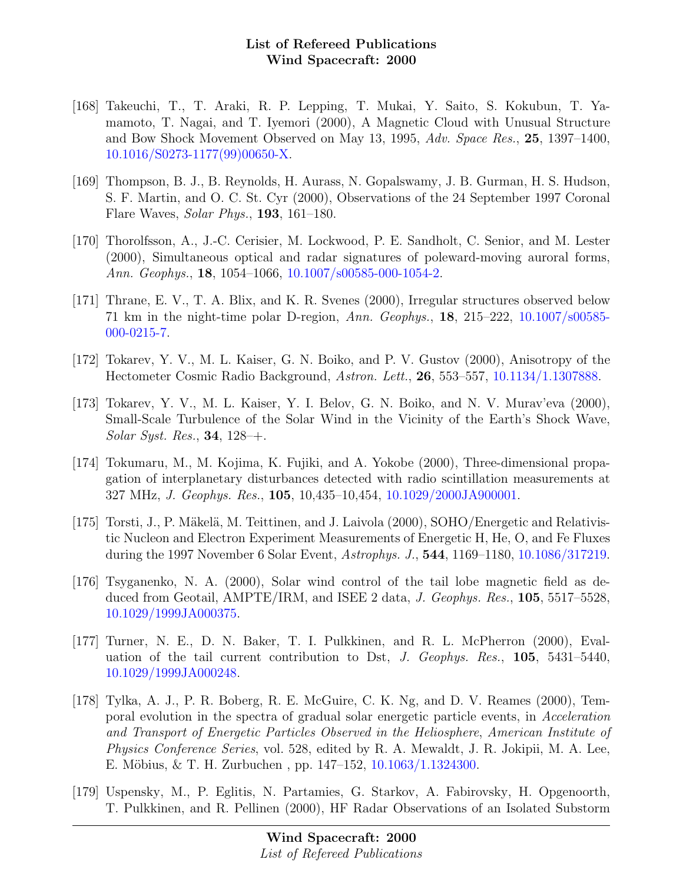- [168] Takeuchi, T., T. Araki, R. P. Lepping, T. Mukai, Y. Saito, S. Kokubun, T. Yamamoto, T. Nagai, and T. Iyemori (2000), A Magnetic Cloud with Unusual Structure and Bow Shock Movement Observed on May 13, 1995, Adv. Space Res., 25, 1397–1400, [10.1016/S0273-1177\(99\)00650-X.](http://dx.doi.org/10.1016/S0273-1177(99)00650-X)
- [169] Thompson, B. J., B. Reynolds, H. Aurass, N. Gopalswamy, J. B. Gurman, H. S. Hudson, S. F. Martin, and O. C. St. Cyr (2000), Observations of the 24 September 1997 Coronal Flare Waves, Solar Phys., 193, 161–180.
- [170] Thorolfsson, A., J.-C. Cerisier, M. Lockwood, P. E. Sandholt, C. Senior, and M. Lester (2000), Simultaneous optical and radar signatures of poleward-moving auroral forms, Ann. Geophys., 18, 1054–1066, [10.1007/s00585-000-1054-2.](http://dx.doi.org/10.1007/s00585-000-1054-2)
- [171] Thrane, E. V., T. A. Blix, and K. R. Svenes (2000), Irregular structures observed below 71 km in the night-time polar D-region, Ann. Geophys., 18, 215–222, [10.1007/s00585-](http://dx.doi.org/10.1007/s00585-000-0215-7) [000-0215-7.](http://dx.doi.org/10.1007/s00585-000-0215-7)
- [172] Tokarev, Y. V., M. L. Kaiser, G. N. Boiko, and P. V. Gustov (2000), Anisotropy of the Hectometer Cosmic Radio Background, Astron. Lett., 26, 553–557, [10.1134/1.1307888.](http://dx.doi.org/10.1134/1.1307888)
- [173] Tokarev, Y. V., M. L. Kaiser, Y. I. Belov, G. N. Boiko, and N. V. Murav'eva (2000), Small-Scale Turbulence of the Solar Wind in the Vicinity of the Earth's Shock Wave, Solar Syst. Res., 34, 128–+.
- [174] Tokumaru, M., M. Kojima, K. Fujiki, and A. Yokobe (2000), Three-dimensional propagation of interplanetary disturbances detected with radio scintillation measurements at 327 MHz, J. Geophys. Res., 105, 10,435–10,454, [10.1029/2000JA900001.](http://dx.doi.org/10.1029/2000JA900001)
- [175] Torsti, J., P. Mäkelä, M. Teittinen, and J. Laivola (2000), SOHO/Energetic and Relativistic Nucleon and Electron Experiment Measurements of Energetic H, He, O, and Fe Fluxes during the 1997 November 6 Solar Event, Astrophys. J., 544, 1169–1180, [10.1086/317219.](http://dx.doi.org/10.1086/317219)
- [176] Tsyganenko, N. A. (2000), Solar wind control of the tail lobe magnetic field as deduced from Geotail, AMPTE/IRM, and ISEE 2 data, J. Geophys. Res., 105, 5517–5528, [10.1029/1999JA000375.](http://dx.doi.org/10.1029/1999JA000375)
- [177] Turner, N. E., D. N. Baker, T. I. Pulkkinen, and R. L. McPherron (2000), Evaluation of the tail current contribution to Dst, J. Geophys. Res., 105, 5431–5440, [10.1029/1999JA000248.](http://dx.doi.org/10.1029/1999JA000248)
- [178] Tylka, A. J., P. R. Boberg, R. E. McGuire, C. K. Ng, and D. V. Reames (2000), Temporal evolution in the spectra of gradual solar energetic particle events, in Acceleration and Transport of Energetic Particles Observed in the Heliosphere, American Institute of Physics Conference Series, vol. 528, edited by R. A. Mewaldt, J. R. Jokipii, M. A. Lee, E. Möbius, & T. H. Zurbuchen, pp.  $147-152$ ,  $10.1063/1.1324300$ .
- [179] Uspensky, M., P. Eglitis, N. Partamies, G. Starkov, A. Fabirovsky, H. Opgenoorth, T. Pulkkinen, and R. Pellinen (2000), HF Radar Observations of an Isolated Substorm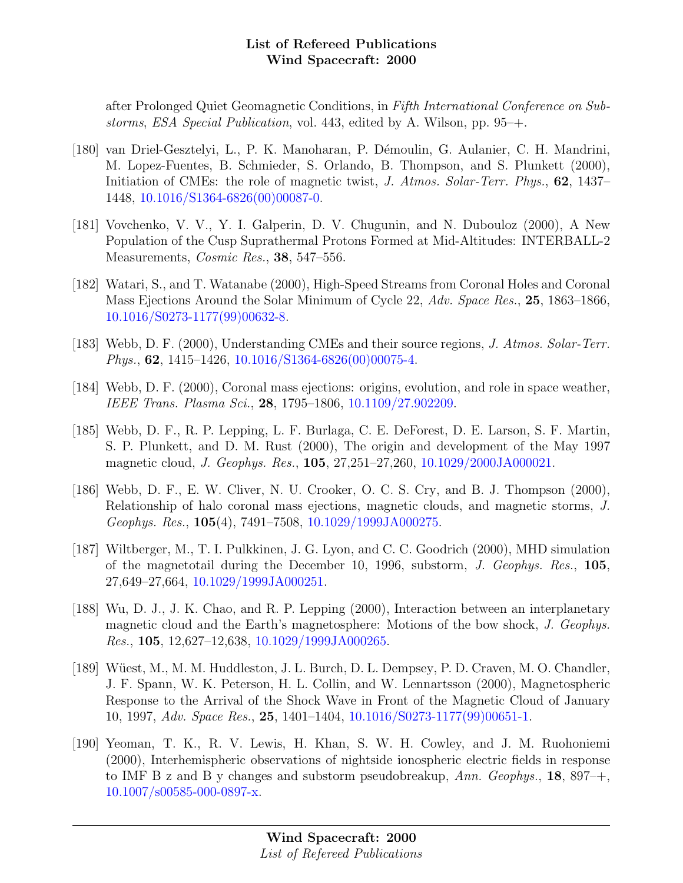after Prolonged Quiet Geomagnetic Conditions, in Fifth International Conference on Substorms, ESA Special Publication, vol. 443, edited by A. Wilson, pp. 95–+.

- [180] van Driel-Gesztelyi, L., P. K. Manoharan, P. D´emoulin, G. Aulanier, C. H. Mandrini, M. Lopez-Fuentes, B. Schmieder, S. Orlando, B. Thompson, and S. Plunkett (2000), Initiation of CMEs: the role of magnetic twist, J. Atmos. Solar-Terr. Phys., 62, 1437– 1448, [10.1016/S1364-6826\(00\)00087-0.](http://dx.doi.org/10.1016/S1364-6826(00)00087-0)
- [181] Vovchenko, V. V., Y. I. Galperin, D. V. Chugunin, and N. Dubouloz (2000), A New Population of the Cusp Suprathermal Protons Formed at Mid-Altitudes: INTERBALL-2 Measurements, Cosmic Res., 38, 547-556.
- [182] Watari, S., and T. Watanabe (2000), High-Speed Streams from Coronal Holes and Coronal Mass Ejections Around the Solar Minimum of Cycle 22, Adv. Space Res., 25, 1863–1866, [10.1016/S0273-1177\(99\)00632-8.](http://dx.doi.org/10.1016/S0273-1177(99)00632-8)
- [183] Webb, D. F. (2000), Understanding CMEs and their source regions, J. Atmos. Solar-Terr. Phys.,  $62$ , 1415–1426, [10.1016/S1364-6826\(00\)00075-4.](http://dx.doi.org/10.1016/S1364-6826(00)00075-4)
- [184] Webb, D. F. (2000), Coronal mass ejections: origins, evolution, and role in space weather, IEEE Trans. Plasma Sci., 28, 1795–1806, [10.1109/27.902209.](http://dx.doi.org/10.1109/27.902209)
- [185] Webb, D. F., R. P. Lepping, L. F. Burlaga, C. E. DeForest, D. E. Larson, S. F. Martin, S. P. Plunkett, and D. M. Rust (2000), The origin and development of the May 1997 magnetic cloud, J. Geophys. Res., 105, 27,251–27,260, [10.1029/2000JA000021.](http://dx.doi.org/10.1029/2000JA000021)
- [186] Webb, D. F., E. W. Cliver, N. U. Crooker, O. C. S. Cry, and B. J. Thompson (2000), Relationship of halo coronal mass ejections, magnetic clouds, and magnetic storms, J. Geophys. Res., 105(4), 7491–7508, [10.1029/1999JA000275.](http://dx.doi.org/10.1029/1999JA000275)
- [187] Wiltberger, M., T. I. Pulkkinen, J. G. Lyon, and C. C. Goodrich (2000), MHD simulation of the magnetotail during the December 10, 1996, substorm, J. Geophys. Res., 105, 27,649–27,664, [10.1029/1999JA000251.](http://dx.doi.org/10.1029/1999JA000251)
- [188] Wu, D. J., J. K. Chao, and R. P. Lepping (2000), Interaction between an interplanetary magnetic cloud and the Earth's magnetosphere: Motions of the bow shock, J. Geophys. Res., 105, 12,627–12,638, [10.1029/1999JA000265.](http://dx.doi.org/10.1029/1999JA000265)
- [189] Wüest, M., M. M. Huddleston, J. L. Burch, D. L. Dempsey, P. D. Craven, M. O. Chandler, J. F. Spann, W. K. Peterson, H. L. Collin, and W. Lennartsson (2000), Magnetospheric Response to the Arrival of the Shock Wave in Front of the Magnetic Cloud of January 10, 1997, Adv. Space Res., 25, 1401–1404, [10.1016/S0273-1177\(99\)00651-1.](http://dx.doi.org/10.1016/S0273-1177(99)00651-1)
- [190] Yeoman, T. K., R. V. Lewis, H. Khan, S. W. H. Cowley, and J. M. Ruohoniemi (2000), Interhemispheric observations of nightside ionospheric electric fields in response to IMF B z and B y changes and substorm pseudobreakup,  $Ann. Geophys., 18, 897<sup>-+</sup>,$ [10.1007/s00585-000-0897-x.](http://dx.doi.org/10.1007/s00585-000-0897-x)